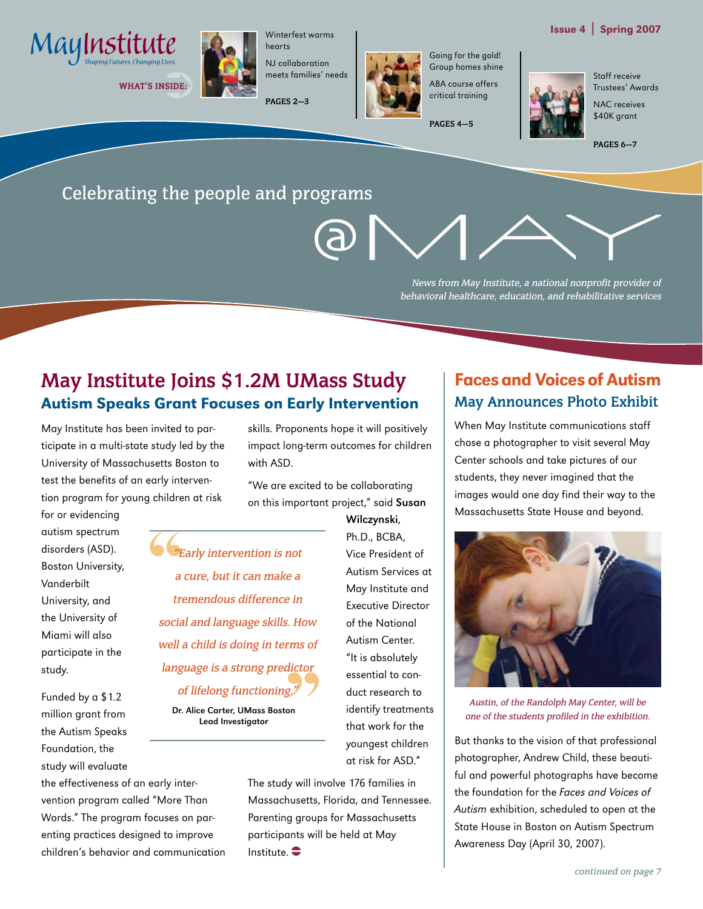

WHAT'S INSIDE:



hearts NJ collaboration meets families' needs

Winterfest warms

**PAGES 2—3**



Going for the gold! Group homes shine ABA course offers critical training

**PAGES 4—5**

Issue 4 | Spring 2007

Staff receive Trustees' Awards

NAC receives \$40K grant

**PAGES 6—7**

# Celebrating the people and programs

News from May Institute, a national nonprofit provider of behavioral healthcare, education, and rehabilitative services

# **May Institute Joins \$1.2M UMass Study** Autism Speaks Grant Focuses on Early Intervention

May Institute has been invited to participate in a multi-state study led by the University of Massachusetts Boston to test the benefits of an early intervention program for young children at risk

for or evidencing autism spectrum disorders (ASD). Boston University, Vanderbilt University, and the University of Miami will also participate in the study.

Funded by a \$1.2 million grant from the Autism Speaks Foundation, the study will evaluate

the effectiveness of an early intervention program called "More Than Words." The program focuses on parenting practices designed to improve children's behavior and communication skills. Proponents hope it will positively impact long-term outcomes for children with ASD.

"We are excited to be collaborating on this important project," said Susan

"Early intervention is not a cure, but it can make a tremendous difference in social and language skills. How well a child is doing in terms of language is a strong predictor of lifelong functioning."

Dr. Alice Carter, UMass Boston Lead Investigator

Wilczynski, Ph.D., BCBA, Vice President of Autism Services at May Institute and Executive Director of the National Autism Center. "It is absolutely essential to conduct research to identify treatments that work for the youngest children at risk for ASD."

The study will involve 176 families in Massachusetts, Florida, and Tennessee. Parenting groups for Massachusetts participants will be held at May Institute.  $\bullet$ 

# Faces and Voices of Autism **May Announces Photo Exhibit**

When May Institute communications staff chose a photographer to visit several May Center schools and take pictures of our students, they never imagined that the images would one day find their way to the Massachusetts State House and beyond.



Austin, of the Randolph May Center, will be one of the students profiled in the exhibition.

But thanks to the vision of that professional photographer, Andrew Child, these beautiful and powerful photographs have become the foundation for the Faces and Voices of Autism exhibition, scheduled to open at the State House in Boston on Autism Spectrum Awareness Day (April 30, 2007).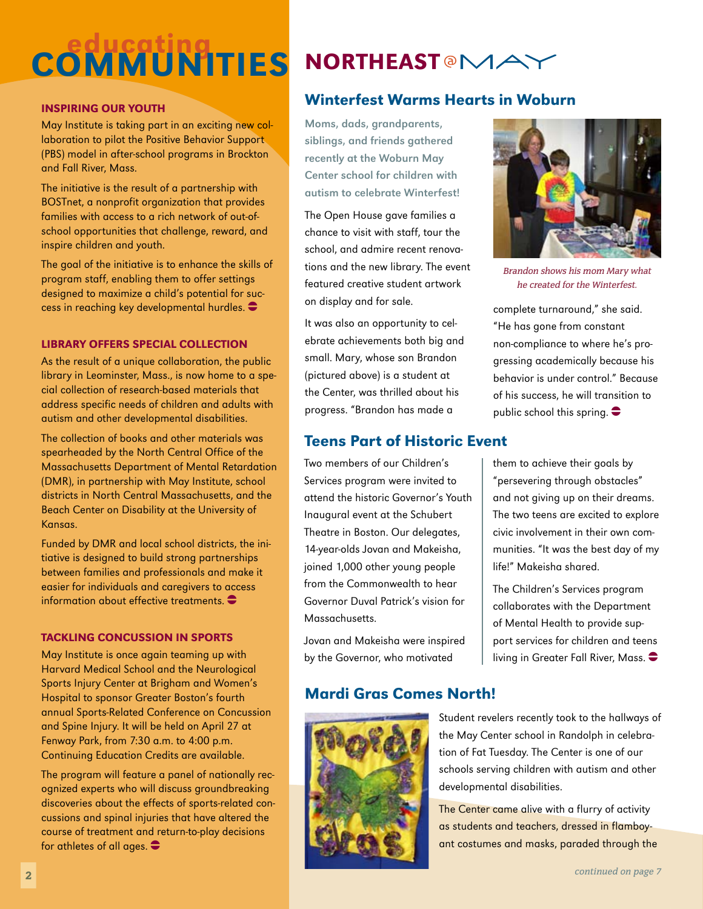# COMMUNITIES NORTHEASTOMAY

## Inspiring Our Youth

May Institute is taking part in an exciting new collaboration to pilot the Positive Behavior Support (PBS) model in after-school programs in Brockton and Fall River, Mass.

The initiative is the result of a partnership with BOSTnet, a nonprofit organization that provides families with access to a rich network of out-ofschool opportunities that challenge, reward, and inspire children and youth.

The goal of the initiative is to enhance the skills of program staff, enabling them to offer settings designed to maximize a child's potential for success in reaching key developmental hurdles.

## Library offers Special Collection

As the result of a unique collaboration, the public library in Leominster, Mass., is now home to a special collection of research-based materials that address specific needs of children and adults with autism and other developmental disabilities.

The collection of books and other materials was spearheaded by the North Central Office of the Massachusetts Department of Mental Retardation (DMR), in partnership with May Institute, school districts in North Central Massachusetts, and the Beach Center on Disability at the University of Kansas.

Funded by DMR and local school districts, the initiative is designed to build strong partnerships between families and professionals and make it easier for individuals and caregivers to access information about effective treatments.  $\bullet$ 

#### Tackling Concussion in sports

May Institute is once again teaming up with Harvard Medical School and the Neurological Sports Injury Center at Brigham and Women's Hospital to sponsor Greater Boston's fourth annual Sports-Related Conference on Concussion and Spine Injury. It will be held on April 27 at Fenway Park, from 7:30 a.m. to 4:00 p.m. Continuing Education Credits are available.

The program will feature a panel of nationally recognized experts who will discuss groundbreaking discoveries about the effects of sports-related concussions and spinal injuries that have altered the course of treatment and return-to-play decisions for athletes of all ages.  $\bullet$ 

# Winterfest Warms Hearts in Woburn

Moms, dads, grandparents, siblings, and friends gathered recently at the Woburn May Center school for children with autism to celebrate Winterfest!

The Open House gave families a chance to visit with staff, tour the school, and admire recent renovations and the new library. The event featured creative student artwork on display and for sale.

It was also an opportunity to celebrate achievements both big and small. Mary, whose son Brandon (pictured above) is a student at the Center, was thrilled about his progress. "Brandon has made a

# Teens Part of Historic Event

Two members of our Children's Services program were invited to attend the historic Governor's Youth Inaugural event at the Schubert Theatre in Boston. Our delegates, 14-year-olds Jovan and Makeisha, joined 1,000 other young people from the Commonwealth to hear Governor Duval Patrick's vision for Massachusetts.

Jovan and Makeisha were inspired by the Governor, who motivated



Brandon shows his mom Mary what he created for the Winterfest.

complete turnaround," she said. "He has gone from constant non-compliance to where he's progressing academically because his behavior is under control." Because of his success, he will transition to public school this spring.  $\bullet$ 

them to achieve their goals by "persevering through obstacles" and not giving up on their dreams. The two teens are excited to explore civic involvement in their own communities. "It was the best day of my life!" Makeisha shared.

The Children's Services program collaborates with the Department of Mental Health to provide support services for children and teens living in Greater Fall River, Mass.  $\bullet$ 

# Mardi Gras Comes North!



Student revelers recently took to the hallways of the May Center school in Randolph in celebration of Fat Tuesday. The Center is one of our schools serving children with autism and other developmental disabilities.

The Center came alive with a flurry of activity as students and teachers, dressed in flamboyant costumes and masks, paraded through the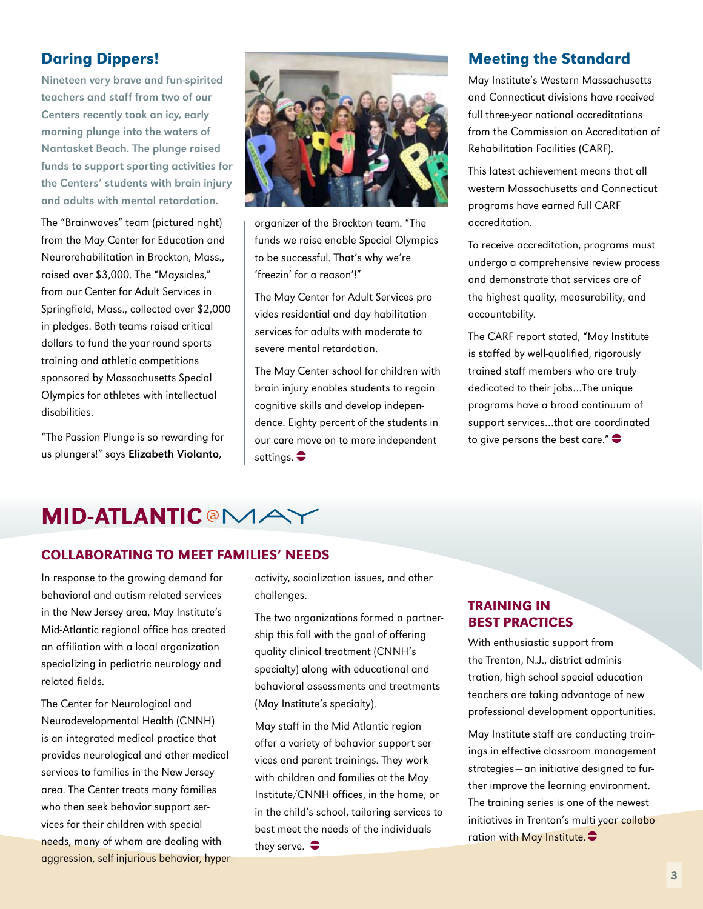# Daring Dippers!

Nineteen very brave and fun-spirited teachers and staff from two of our Centers recently took an icy, early morning plunge into the waters of Nantasket Beach. The plunge raised funds to support sporting activities for the Centers' students with brain injury and adults with mental retardation.

The "Brainwaves" team (pictured right) from the May Center for Education and Neurorehabilitation in Brockton, Mass., raised over \$3,000. The "Maysicles," from our Center for Adult Services in Springfield, Mass., collected over \$2,000 in pledges. Both teams raised critical dollars to fund the year-round sports training and athletic competitions sponsored by Massachusetts Special Olympics for athletes with intellectual disabilities.

"The Passion Plunge is so rewarding for us plungers!" says Elizabeth Violanto,



organizer of the Brockton team. "The funds we raise enable Special Olympics to be successful. That's why we're 'freezin' for a reason'!"

The May Center for Adult Services provides residential and day habilitation services for adults with moderate to severe mental retardation.

The May Center school for children with brain injury enables students to regain cognitive skills and develop independence. Eighty percent of the students in our care move on to more independent settings.  $\bullet$ 

# Meeting the Standard

May Institute's Western Massachusetts and Connecticut divisions have received full three-year national accreditations from the Commission on Accreditation of Rehabilitation Facilities (CARF).

This latest achievement means that all western Massachusetts and Connecticut programs have earned full CARF accreditation.

To receive accreditation, programs must undergo a comprehensive review process and demonstrate that services are of the highest quality, measurability, and accountability.

The CARF report stated, "May Institute is staffed by well-qualified, rigorously trained staff members who are truly dedicated to their jobs…The unique programs have a broad continuum of support services…that are coordinated to give persons the best care." $\bullet$ 

# **MID-ATLANTIC @MAY**

## Collaborating to Meet Families' Needs

In response to the growing demand for behavioral and autism-related services in the New Jersey area, May Institute's Mid-Atlantic regional office has created an affiliation with a local organization specializing in pediatric neurology and related fields.

The Center for Neurological and Neurodevelopmental Health (CNNH) is an integrated medical practice that provides neurological and other medical services to families in the New Jersey area. The Center treats many families who then seek behavior support services for their children with special needs, many of whom are dealing with aggression, self-injurious behavior, hyperactivity, socialization issues, and other challenges.

The two organizations formed a partnership this fall with the goal of offering quality clinical treatment (CNNH's specialty) along with educational and behavioral assessments and treatments (May Institute's specialty).

May staff in the Mid-Atlantic region offer a variety of behavior support services and parent trainings. They work with children and families at the May Institute/CNNH offices, in the home, or in the child's school, tailoring services to best meet the needs of the individuals they serve.  $\bullet$ 

# Training in Best Practices

With enthusiastic support from the Trenton, N.J., district administration, high school special education teachers are taking advantage of new professional development opportunities.

May Institute staff are conducting trainings in effective classroom management strategies—an initiative designed to further improve the learning environment. The training series is one of the newest initiatives in Trenton's multi-year collaboration with May Institute.  $\bullet$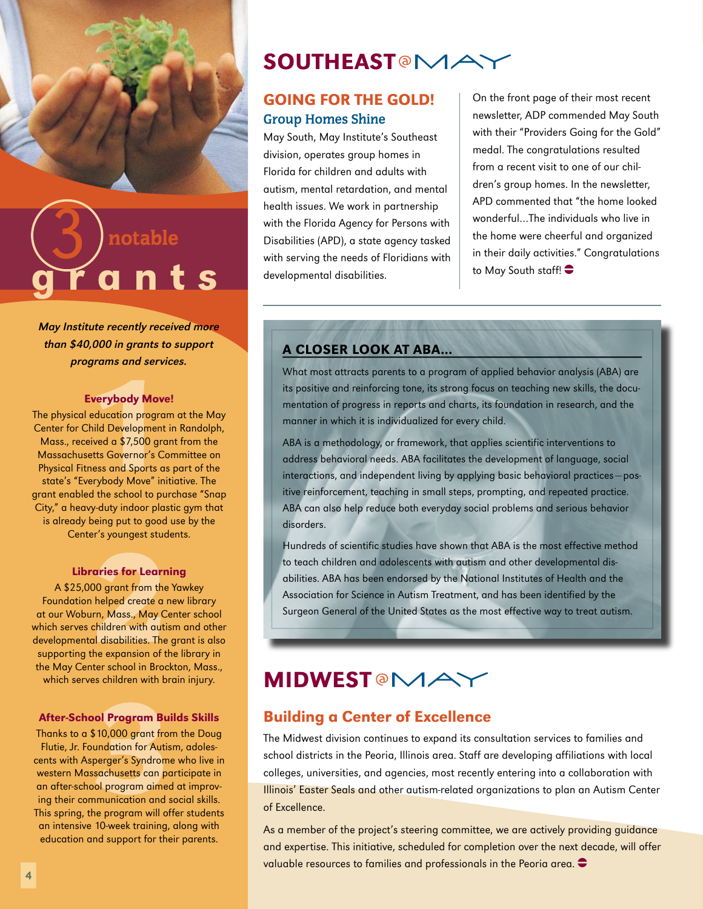

# a n t s notable

May Institute recently received more than \$40,000 in grants to support programs and services.

#### Everybody Move!

The physical education program at the May Center for Child Development in Randolph, Mass., received a \$7,500 grant from the Massachusetts Governor's Committee on Physical Fitness and Sports as part of the state's "Everybody Move" initiative. The grant enabled the school to purchase "Snap City," a heavy-duty indoor plastic gym that is already being put to good use by the Center's youngest students.

#### Libraries for Learning

A \$25,000 grant from the Yawkey Foundation helped create a new library at our Woburn, Mass., May Center school which serves children with autism and other developmental disabilities. The grant is also supporting the expansion of the library in the May Center school in Brockton, Mass., which serves children with brain injury.

#### After-School Program Builds Skills

Thanks to a \$10,000 grant from the Doug Flutie, Jr. Foundation for Autism, adolescents with Asperger's Syndrome who live in western Massachusetts can participate in an after-school program aimed at improving their communication and social skills. This spring, the program will offer students an intensive 10-week training, along with education and support for their parents.

# SOUTHEAST<sup>®</sup>MA

# Going For the Gold! **Group Homes Shine**

May South, May Institute's Southeast division, operates group homes in Florida for children and adults with autism, mental retardation, and mental health issues. We work in partnership with the Florida Agency for Persons with Disabilities (APD), a state agency tasked with serving the needs of Floridians with developmental disabilities.

On the front page of their most recent newsletter, ADP commended May South with their "Providers Going for the Gold" medal. The congratulations resulted from a recent visit to one of our children's group homes. In the newsletter, APD commented that "the home looked wonderful…The individuals who live in the home were cheerful and organized in their daily activities." Congratulations to May South staff!  $\bullet$ 

## A closer look at ABA…

What most attracts parents to a program of applied behavior analysis (ABA) are its positive and reinforcing tone, its strong focus on teaching new skills, the documentation of progress in reports and charts, its foundation in research, and the manner in which it is individualized for every child.

ABA is a methodology, or framework, that applies scientific interventions to address behavioral needs. ABA facilitates the development of language, social interactions, and independent living by applying basic behavioral practices—positive reinforcement, teaching in small steps, prompting, and repeated practice. ABA can also help reduce both everyday social problems and serious behavior disorders.

Hundreds of scientific studies have shown that ABA is the most effective method to teach children and adolescents with autism and other developmental disabilities. ABA has been endorsed by the National Institutes of Health and the Association for Science in Autism Treatment, and has been identified by the Surgeon General of the United States as the most effective way to treat autism.

# **MIDWESTOMAY**

## Building a Center of Excellence

The Midwest division continues to expand its consultation services to families and school districts in the Peoria, Illinois area. Staff are developing affiliations with local colleges, universities, and agencies, most recently entering into a collaboration with Illinois' Easter Seals and other autism-related organizations to plan an Autism Center of Excellence.

As a member of the project's steering committee, we are actively providing guidance and expertise. This initiative, scheduled for completion over the next decade, will offer valuable resources to families and professionals in the Peoria area.  $\bullet$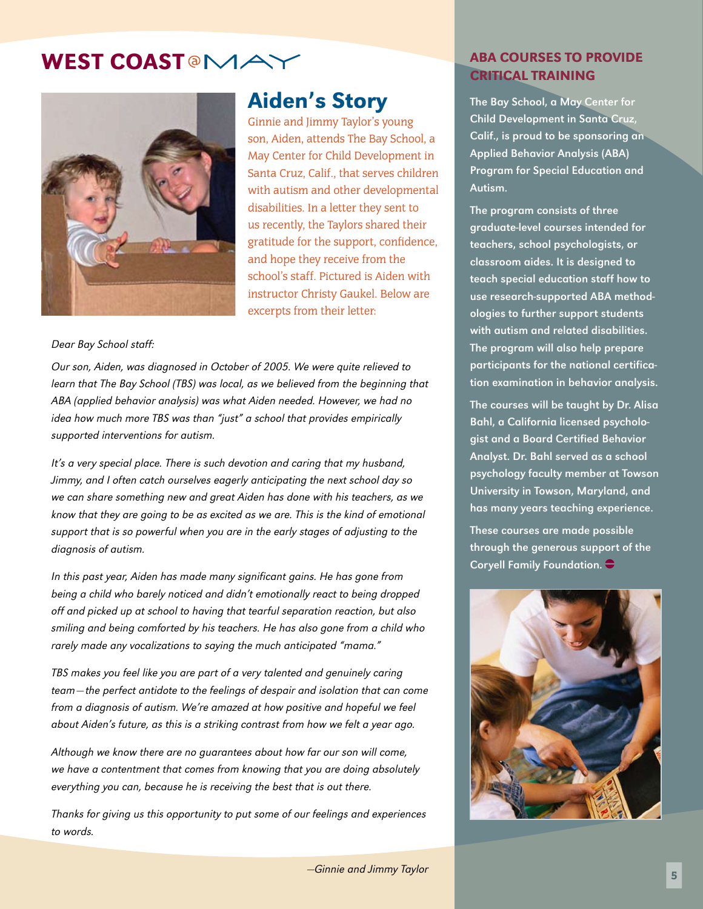WEST COAST<sup>®</sup>MAY



# Aiden's Story

Ginnie and Jimmy Taylor's young son, Aiden, attends The Bay School, a May Center for Child Development in Santa Cruz, Calif., that serves children with autism and other developmental disabilities. In a letter they sent to us recently, the Taylors shared their gratitude for the support, confidence, and hope they receive from the school's staff. Pictured is Aiden with instructor Christy Gaukel. Below are excerpts from their letter:

#### Dear Bay School staff:

Our son, Aiden, was diagnosed in October of 2005. We were quite relieved to learn that The Bay School (TBS) was local, as we believed from the beginning that ABA (applied behavior analysis) was what Aiden needed. However, we had no idea how much more TBS was than "just" a school that provides empirically supported interventions for autism.

It's a very special place. There is such devotion and caring that my husband, Jimmy, and I often catch ourselves eagerly anticipating the next school day so we can share something new and great Aiden has done with his teachers, as we know that they are going to be as excited as we are. This is the kind of emotional support that is so powerful when you are in the early stages of adjusting to the diagnosis of autism.

In this past year, Aiden has made many significant gains. He has gone from being a child who barely noticed and didn't emotionally react to being dropped off and picked up at school to having that tearful separation reaction, but also smiling and being comforted by his teachers. He has also gone from a child who rarely made any vocalizations to saying the much anticipated "mama."

TBS makes you feel like you are part of a very talented and genuinely caring team—the perfect antidote to the feelings of despair and isolation that can come from a diagnosis of autism. We're amazed at how positive and hopeful we feel about Aiden's future, as this is a striking contrast from how we felt a year ago.

Although we know there are no guarantees about how far our son will come, we have a contentment that comes from knowing that you are doing absolutely everything you can, because he is receiving the best that is out there.

Thanks for giving us this opportunity to put some of our feelings and experiences to words.

## ABA Courses to Provide Critical Training

The Bay School, a May Center for Child Development in Santa Cruz, Calif., is proud to be sponsoring an Applied Behavior Analysis (ABA) Program for Special Education and Autism.

The program consists of three graduate-level courses intended for teachers, school psychologists, or classroom aides. It is designed to teach special education staff how to use research-supported ABA methodologies to further support students with autism and related disabilities. The program will also help prepare participants for the national certification examination in behavior analysis.

The courses will be taught by Dr. Alisa Bahl, a California licensed psychologist and a Board Certified Behavior Analyst. Dr. Bahl served as a school psychology faculty member at Towson University in Towson, Maryland, and has many years teaching experience.

These courses are made possible through the generous support of the Coryell Family Foundation.  $\bigodot$ 

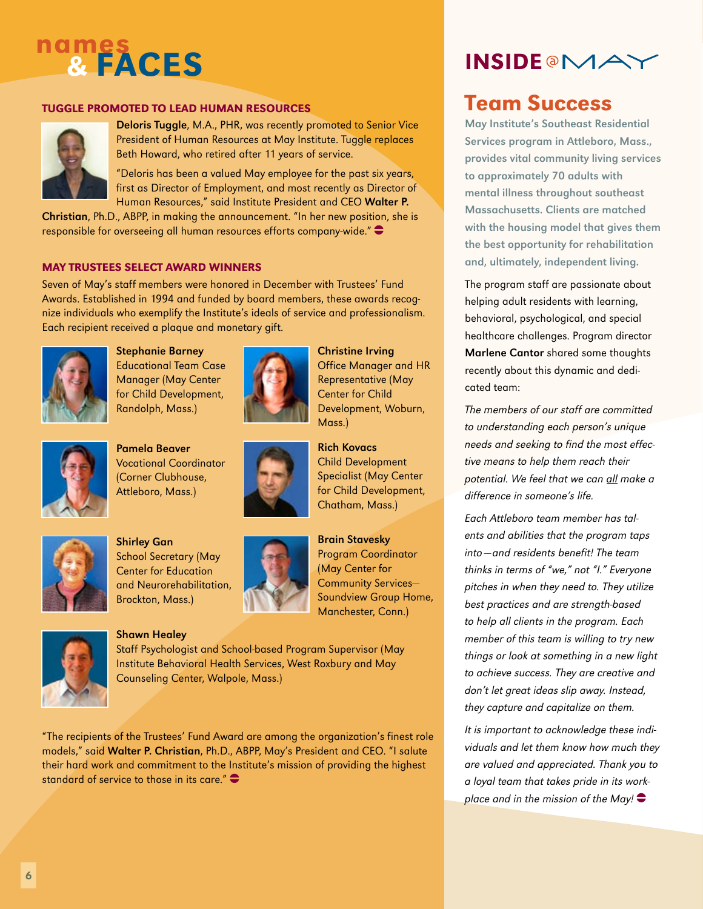# nam<u>es</u> & **FACES** INS

## Tuggle Promoted to Lead Human Resources



Deloris Tuggle, M.A., PHR, was recently promoted to Senior Vice President of Human Resources at May Institute. Tuggle replaces Beth Howard, who retired after 11 years of service.

"Deloris has been a valued May employee for the past six years, first as Director of Employment, and most recently as Director of Human Resources," said Institute President and CEO Walter P.

Christian, Ph.D., ABPP, in making the announcement. "In her new position, she is responsible for overseeing all human resources efforts company-wide." $\bullet$ 

## May Trustees select Award Winners

Seven of May's staff members were honored in December with Trustees' Fund Awards. Established in 1994 and funded by board members, these awards recognize individuals who exemplify the Institute's ideals of service and professionalism. Each recipient received a plaque and monetary gift.



Stephanie Barney Educational Team Case Manager (May Center for Child Development, Randolph, Mass.)



Pamela Beaver Vocational Coordinator (Corner Clubhouse, Attleboro, Mass.)



Shirley Gan School Secretary (May Center for Education and Neurorehabilitation, Brockton, Mass.)



## Shawn Healey



Brain Stavesky Program Coordinator (May Center for Community Services— Soundview Group Home, Manchester, Conn.)

Christine Irving

Mass.)

Rich Kovacs Child Development Specialist (May Center for Child Development, Chatham, Mass.)

Office Manager and HR Representative (May Center for Child

Development, Woburn,

Staff Psychologist and School-based Program Supervisor (May Institute Behavioral Health Services, West Roxbury and May Counseling Center, Walpole, Mass.)

"The recipients of the Trustees' Fund Award are among the organization's finest role models," said Walter P. Christian, Ph.D., ABPP, May's President and CEO. "I salute their hard work and commitment to the Institute's mission of providing the highest standard of service to those in its care." $\bullet$ 



# Team Success

May Institute's Southeast Residential Services program in Attleboro, Mass., provides vital community living services to approximately 70 adults with mental illness throughout southeast Massachusetts. Clients are matched with the housing model that gives them the best opportunity for rehabilitation and, ultimately, independent living.

The program staff are passionate about helping adult residents with learning, behavioral, psychological, and special healthcare challenges. Program director Marlene Cantor shared some thoughts recently about this dynamic and dedicated team:

The members of our staff are committed to understanding each person's unique needs and seeking to find the most effective means to help them reach their potential. We feel that we can all make a difference in someone's life.

Each Attleboro team member has talents and abilities that the program taps into—and residents benefit! The team thinks in terms of "we," not "I." Everyone pitches in when they need to. They utilize best practices and are strength-based to help all clients in the program. Each member of this team is willing to try new things or look at something in a new light to achieve success. They are creative and don't let great ideas slip away. Instead, they capture and capitalize on them.

It is important to acknowledge these individuals and let them know how much they are valued and appreciated. Thank you to a loyal team that takes pride in its workplace and in the mission of the May!  $\bullet$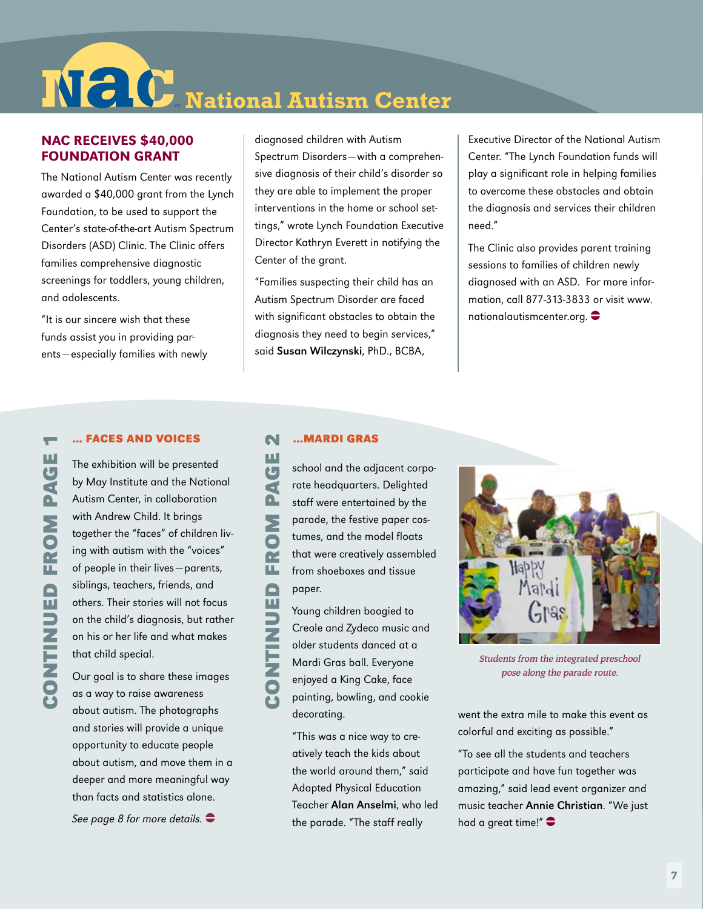$N$  **C** National Autism Center

## NAC Receives \$40,000 Foundation Grant

The National Autism Center was recently awarded a \$40,000 grant from the Lynch Foundation, to be used to support the Center's state-of-the-art Autism Spectrum Disorders (ASD) Clinic. The Clinic offers families comprehensive diagnostic screenings for toddlers, young children, and adolescents.

"It is our sincere wish that these funds assist you in providing parents—especially families with newly diagnosed children with Autism Spectrum Disorders—with a comprehensive diagnosis of their child's disorder so they are able to implement the proper interventions in the home or school settings," wrote Lynch Foundation Executive Director Kathryn Everett in notifying the Center of the grant.

"Families suspecting their child has an Autism Spectrum Disorder are faced with significant obstacles to obtain the diagnosis they need to begin services," said Susan Wilczynski, PhD., BCBA,

Executive Director of the National Autism Center. "The Lynch Foundation funds will play a significant role in helping families to overcome these obstacles and obtain the diagnosis and services their children need."

The Clinic also provides parent training sessions to families of children newly diagnosed with an ASD. For more information, call 877-313-3833 or visit www. nationalautismcenter.org.  $\bullet$ 

#### **… Faces and voices**

The exhibition will be presented by May Institute and the National Autism Center, in collaboration with Andrew Child. It brings together the "faces" of children living with autism with the "voices" of people in their lives—parents, siblings, teachers, friends, and others. Their stories will not focus on the child's diagnosis, but rather on his or her life and what makes that child special.

**Continued** 

**CONTINUED FROM PAGE** 

**m page 1**

 $\overline{\phantom{a}}$ 

Our goal is to share these images as a way to raise awareness about autism. The photographs and stories will provide a unique opportunity to educate people about autism, and move them in a deeper and more meaningful way than facts and statistics alone.

See page 8 for more details.  $\bullet$ 

#### **…Mardi gras** N

**m page 2** ш

**Continued** 

 $\overline{\mathbf{G}}$ school and the adjacent corpođ rate headquarters. Delighted Q, staff were entertained by the **FROM** parade, the festive paper costumes, and the model floats that were creatively assembled from shoeboxes and tissue CONTINUED paper.

Young children boogied to Creole and Zydeco music and older students danced at a Mardi Gras ball. Everyone enjoyed a King Cake, face painting, bowling, and cookie decorating.

"This was a nice way to creatively teach the kids about the world around them," said Adapted Physical Education Teacher Alan Anselmi, who led the parade. "The staff really



Students from the integrated preschool pose along the parade route.

went the extra mile to make this event as colorful and exciting as possible."

"To see all the students and teachers participate and have fun together was amazing," said lead event organizer and music teacher Annie Christian. "We just had a great time!" $\bullet$